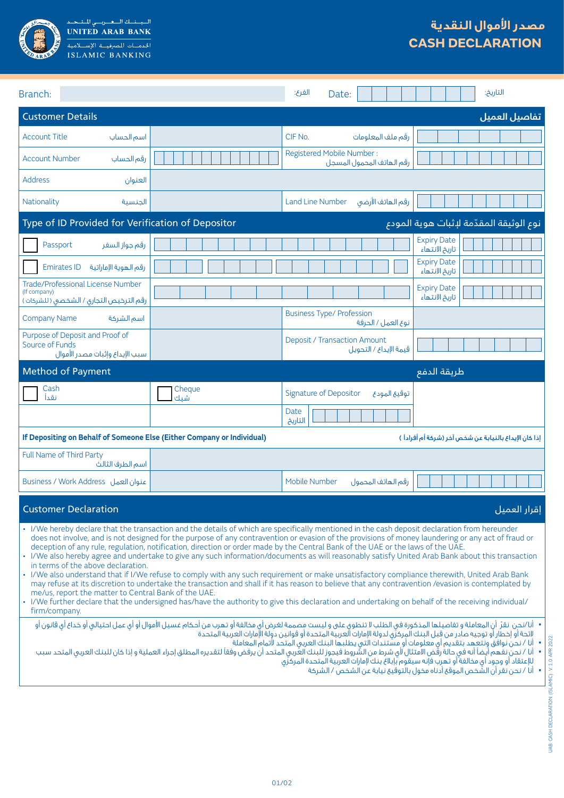

| Branch:                                                                                                                                                                                                                                                                                                                                                                                                                                                                                                                                                                                                                                                                                                                                                                                                                                                                                                                                                                                                                                                                                                                                                                                                                                                                                                                                                                                                                                                                                                                                                                                                                                                                                                                                                                                                                                                                                                                                            |               | الغرع:<br>Date:                                               | التاريخ:                             |  |
|----------------------------------------------------------------------------------------------------------------------------------------------------------------------------------------------------------------------------------------------------------------------------------------------------------------------------------------------------------------------------------------------------------------------------------------------------------------------------------------------------------------------------------------------------------------------------------------------------------------------------------------------------------------------------------------------------------------------------------------------------------------------------------------------------------------------------------------------------------------------------------------------------------------------------------------------------------------------------------------------------------------------------------------------------------------------------------------------------------------------------------------------------------------------------------------------------------------------------------------------------------------------------------------------------------------------------------------------------------------------------------------------------------------------------------------------------------------------------------------------------------------------------------------------------------------------------------------------------------------------------------------------------------------------------------------------------------------------------------------------------------------------------------------------------------------------------------------------------------------------------------------------------------------------------------------------------|---------------|---------------------------------------------------------------|--------------------------------------|--|
| <b>Customer Details</b><br>تفاصيل العميل                                                                                                                                                                                                                                                                                                                                                                                                                                                                                                                                                                                                                                                                                                                                                                                                                                                                                                                                                                                                                                                                                                                                                                                                                                                                                                                                                                                                                                                                                                                                                                                                                                                                                                                                                                                                                                                                                                           |               |                                                               |                                      |  |
| <b>Account Title</b><br>اسم الحساب                                                                                                                                                                                                                                                                                                                                                                                                                                                                                                                                                                                                                                                                                                                                                                                                                                                                                                                                                                                                                                                                                                                                                                                                                                                                                                                                                                                                                                                                                                                                                                                                                                                                                                                                                                                                                                                                                                                 |               | CIF No.<br>رقم ملف المعلومات                                  |                                      |  |
| <b>Account Number</b><br>رقم الحساب                                                                                                                                                                                                                                                                                                                                                                                                                                                                                                                                                                                                                                                                                                                                                                                                                                                                                                                                                                                                                                                                                                                                                                                                                                                                                                                                                                                                                                                                                                                                                                                                                                                                                                                                                                                                                                                                                                                |               | Registered Mobile Number:<br>رقم الهاتف المحمول المسجل        |                                      |  |
| <b>Address</b><br>العنوان                                                                                                                                                                                                                                                                                                                                                                                                                                                                                                                                                                                                                                                                                                                                                                                                                                                                                                                                                                                                                                                                                                                                                                                                                                                                                                                                                                                                                                                                                                                                                                                                                                                                                                                                                                                                                                                                                                                          |               |                                                               |                                      |  |
| Nationality<br>الحنسىة                                                                                                                                                                                                                                                                                                                                                                                                                                                                                                                                                                                                                                                                                                                                                                                                                                                                                                                                                                                                                                                                                                                                                                                                                                                                                                                                                                                                                                                                                                                                                                                                                                                                                                                                                                                                                                                                                                                             |               | رقم الهاتف الأرضى<br><b>Land Line Number</b>                  |                                      |  |
| نوع الوثيقة المقدّمة لإثبات هوية المودع<br>Type of ID Provided for Verification of Depositor                                                                                                                                                                                                                                                                                                                                                                                                                                                                                                                                                                                                                                                                                                                                                                                                                                                                                                                                                                                                                                                                                                                                                                                                                                                                                                                                                                                                                                                                                                                                                                                                                                                                                                                                                                                                                                                       |               |                                                               |                                      |  |
| رقم جواز السفر<br>Passport                                                                                                                                                                                                                                                                                                                                                                                                                                                                                                                                                                                                                                                                                                                                                                                                                                                                                                                                                                                                                                                                                                                                                                                                                                                                                                                                                                                                                                                                                                                                                                                                                                                                                                                                                                                                                                                                                                                         |               |                                                               | <b>Expiry Date</b><br>تاريخ الانتهاء |  |
| <b>Emirates ID</b><br>رقم الهوية الإماراتية                                                                                                                                                                                                                                                                                                                                                                                                                                                                                                                                                                                                                                                                                                                                                                                                                                                                                                                                                                                                                                                                                                                                                                                                                                                                                                                                                                                                                                                                                                                                                                                                                                                                                                                                                                                                                                                                                                        |               |                                                               | <b>Expiry Date</b><br>تاريخ الانتهاء |  |
| <b>Trade/Professional License Number</b><br>(If company)<br>رقم الترخيص التجارى / الشخصى ( للشركات )                                                                                                                                                                                                                                                                                                                                                                                                                                                                                                                                                                                                                                                                                                                                                                                                                                                                                                                                                                                                                                                                                                                                                                                                                                                                                                                                                                                                                                                                                                                                                                                                                                                                                                                                                                                                                                               |               |                                                               | <b>Expiry Date</b><br>تاريخ الانتهاء |  |
| <b>Company Name</b><br>اسم الشركة                                                                                                                                                                                                                                                                                                                                                                                                                                                                                                                                                                                                                                                                                                                                                                                                                                                                                                                                                                                                                                                                                                                                                                                                                                                                                                                                                                                                                                                                                                                                                                                                                                                                                                                                                                                                                                                                                                                  |               | <b>Business Type/ Profession</b><br>نوع العمل / الحرفة        |                                      |  |
| Purpose of Deposit and Proof of<br>Source of Funds<br>سبب الإيداع وإثبات مصدر الأموال                                                                                                                                                                                                                                                                                                                                                                                                                                                                                                                                                                                                                                                                                                                                                                                                                                                                                                                                                                                                                                                                                                                                                                                                                                                                                                                                                                                                                                                                                                                                                                                                                                                                                                                                                                                                                                                              |               | <b>Deposit / Transaction Amount</b><br>قيمة الإيداع / التحويل |                                      |  |
| <b>Method of Payment</b><br>طريقة الدفع                                                                                                                                                                                                                                                                                                                                                                                                                                                                                                                                                                                                                                                                                                                                                                                                                                                                                                                                                                                                                                                                                                                                                                                                                                                                                                                                                                                                                                                                                                                                                                                                                                                                                                                                                                                                                                                                                                            |               |                                                               |                                      |  |
| Cash<br>نقدآ                                                                                                                                                                                                                                                                                                                                                                                                                                                                                                                                                                                                                                                                                                                                                                                                                                                                                                                                                                                                                                                                                                                                                                                                                                                                                                                                                                                                                                                                                                                                                                                                                                                                                                                                                                                                                                                                                                                                       | Cheque<br>شىك | Signature of Depositor<br>توقيع المودع                        |                                      |  |
|                                                                                                                                                                                                                                                                                                                                                                                                                                                                                                                                                                                                                                                                                                                                                                                                                                                                                                                                                                                                                                                                                                                                                                                                                                                                                                                                                                                                                                                                                                                                                                                                                                                                                                                                                                                                                                                                                                                                                    |               | Date<br>التاريخ                                               |                                      |  |
| If Depositing on Behalf of Someone Else (Either Company or Individual)<br>إذا كان الإيداع بالنيابة عن شخص آخر (شركة أم أفراداً)                                                                                                                                                                                                                                                                                                                                                                                                                                                                                                                                                                                                                                                                                                                                                                                                                                                                                                                                                                                                                                                                                                                                                                                                                                                                                                                                                                                                                                                                                                                                                                                                                                                                                                                                                                                                                    |               |                                                               |                                      |  |
| Full Name of Third Party<br>اسم الطرف الثالث                                                                                                                                                                                                                                                                                                                                                                                                                                                                                                                                                                                                                                                                                                                                                                                                                                                                                                                                                                                                                                                                                                                                                                                                                                                                                                                                                                                                                                                                                                                                                                                                                                                                                                                                                                                                                                                                                                       |               |                                                               |                                      |  |
| Business / Work Address فنوان العمل                                                                                                                                                                                                                                                                                                                                                                                                                                                                                                                                                                                                                                                                                                                                                                                                                                                                                                                                                                                                                                                                                                                                                                                                                                                                                                                                                                                                                                                                                                                                                                                                                                                                                                                                                                                                                                                                                                                |               | Mobile Number<br>رقم الهاتف المحمول                           |                                      |  |
| <b>Customer Declaration</b><br>إقرار العميل                                                                                                                                                                                                                                                                                                                                                                                                                                                                                                                                                                                                                                                                                                                                                                                                                                                                                                                                                                                                                                                                                                                                                                                                                                                                                                                                                                                                                                                                                                                                                                                                                                                                                                                                                                                                                                                                                                        |               |                                                               |                                      |  |
| · I/We hereby declare that the transaction and the details of which are specifically mentioned in the cash deposit declaration from hereunder<br>does not involve, and is not designed for the purpose of any contravention or evasion of the provisions of money laundering or any act of fraud or<br>deception of any rule, regulation, notification, direction or order made by the Central Bank of the UAE or the laws of the UAE.<br>· I/We also hereby agree and undertake to give any such information/documents as will reasonably satisfy United Arab Bank about this transaction<br>in terms of the above declaration.<br>· I/We also understand that if I/We refuse to comply with any such requirement or make unsatisfactory compliance therewith, United Arab Bank<br>may refuse at its discretion to undertake the transaction and shall if it has reason to believe that any contravention /evasion is contemplated by<br>me/us, report the matter to Central Bank of the UAE.<br>· I/We further declare that the undersigned has/have the authority to give this declaration and undertaking on behalf of the receiving individual/<br>firm/company.<br>• أنا/نحن نقرّ أن المعاملة و تفاصيلها المذكورة فى الطلب لا تنطوى على و ليست مصممة لغرض أى مخالفة أو تهرب من أحكام غسيل الأموال أو أى عمل احتيالى أو خداع أى قانون أو<br>لائحة أو إخطار أو توجيه صادر من قبل البنك المركزّى لدولة الإمارات العربية المتحدة أو قوانين دولة الإمارات العربية المتحدة<br>•   أنا / نحن نوافق ونتعهد بتقديم أي معلومات أو مسّتندات التي يطلبها البنك العربي المتحد لأتمام المعاملة<br>•   أنا / نحن نفهم أيضاً أنه فى حالة رقَض الامتثال لأى شرط من الشروط فيجوز للبنك الحربى المتحد أن يرفض وفقاً لتقديره المطلق إجراء العملية و إذا كان للبنك العربى المتحد سبب<br>للإعتقاد أو وجود أي مخالفة أو تهرب فإنه سيقوم بإبلاغ بنك لإمارات العربية المتحدة المركزي<br>▪ أنا / نحن نقر أن الشَّخص الموقع أدناه مخول بالتوقيع نيابة عن الشخص / الشركة |               |                                                               |                                      |  |